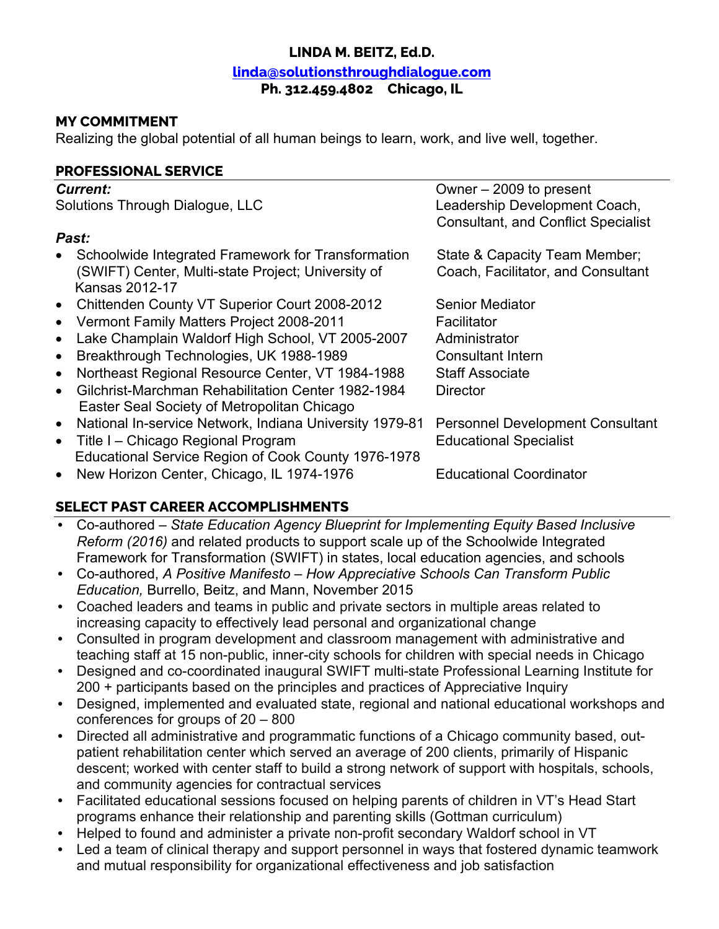### **LINDA M. BEITZ, Ed.D.**

#### **linda@solutionsthroughdialogue.com**

#### **Ph. 312.459.4802 Chicago, IL**

### **MY COMMITMENT**

Realizing the global potential of all human beings to learn, work, and live well, together.

#### **PROFESSIONAL SERVICE**

| <b>Current:</b>                                                                                                            | Owner - 2009 to present                                                     |
|----------------------------------------------------------------------------------------------------------------------------|-----------------------------------------------------------------------------|
| Solutions Through Dialogue, LLC                                                                                            | Leadership Development Coach,<br><b>Consultant, and Conflict Specialist</b> |
| Past:                                                                                                                      |                                                                             |
| Schoolwide Integrated Framework for Transformation<br>(SWIFT) Center, Multi-state Project; University of<br>Kansas 2012-17 | State & Capacity Team Member;<br>Coach, Facilitator, and Consultant         |
| Chittenden County VT Superior Court 2008-2012<br>$\bullet$                                                                 | <b>Senior Mediator</b>                                                      |
| Vermont Family Matters Project 2008-2011<br>$\bullet$                                                                      | Facilitator                                                                 |
| Lake Champlain Waldorf High School, VT 2005-2007<br>$\bullet$                                                              | Administrator                                                               |
| Breakthrough Technologies, UK 1988-1989<br>$\bullet$                                                                       | <b>Consultant Intern</b>                                                    |
| Northeast Regional Resource Center, VT 1984-1988<br>$\bullet$                                                              | <b>Staff Associate</b>                                                      |
| Gilchrist-Marchman Rehabilitation Center 1982-1984<br>$\bullet$<br>Easter Seal Society of Metropolitan Chicago             | Director                                                                    |
| National In-service Network, Indiana University 1979-81<br>$\bullet$                                                       | <b>Personnel Development Consultant</b>                                     |
| Title I - Chicago Regional Program<br>$\bullet$<br>Educational Service Region of Cook County 1976-1978                     | <b>Educational Specialist</b>                                               |
| New Horizon Center, Chicago, IL 1974-1976<br>$\bullet$                                                                     | <b>Educational Coordinator</b>                                              |

### **SELECT PAST CAREER ACCOMPLISHMENTS**

- Co-authored *State Education Agency Blueprint for Implementing Equity Based Inclusive Reform (2016)* and related products to support scale up of the Schoolwide Integrated Framework for Transformation (SWIFT) in states, local education agencies, and schools
- Co-authored, *A Positive Manifesto – How Appreciative Schools Can Transform Public Education,* Burrello, Beitz, and Mann, November 2015
- Coached leaders and teams in public and private sectors in multiple areas related to increasing capacity to effectively lead personal and organizational change
- Consulted in program development and classroom management with administrative and teaching staff at 15 non-public, inner-city schools for children with special needs in Chicago
- Designed and co-coordinated inaugural SWIFT multi-state Professional Learning Institute for 200 + participants based on the principles and practices of Appreciative Inquiry
- Designed, implemented and evaluated state, regional and national educational workshops and conferences for groups of 20 – 800
- Directed all administrative and programmatic functions of a Chicago community based, outpatient rehabilitation center which served an average of 200 clients, primarily of Hispanic descent; worked with center staff to build a strong network of support with hospitals, schools, and community agencies for contractual services
- Facilitated educational sessions focused on helping parents of children in VT's Head Start programs enhance their relationship and parenting skills (Gottman curriculum)
- Helped to found and administer a private non-profit secondary Waldorf school in VT
- Led a team of clinical therapy and support personnel in ways that fostered dynamic teamwork and mutual responsibility for organizational effectiveness and job satisfaction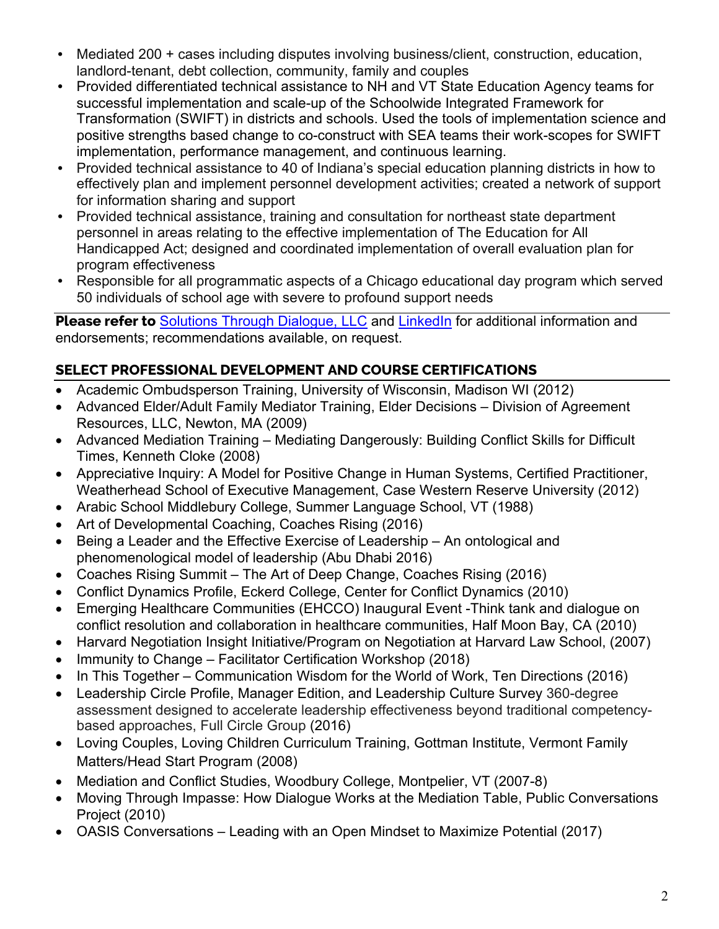- Mediated 200 + cases including disputes involving business/client, construction, education, landlord-tenant, debt collection, community, family and couples
- Provided differentiated technical assistance to NH and VT State Education Agency teams for successful implementation and scale-up of the Schoolwide Integrated Framework for Transformation (SWIFT) in districts and schools. Used the tools of implementation science and positive strengths based change to co-construct with SEA teams their work-scopes for SWIFT implementation, performance management, and continuous learning.
- Provided technical assistance to 40 of Indiana's special education planning districts in how to effectively plan and implement personnel development activities; created a network of support for information sharing and support
- Provided technical assistance, training and consultation for northeast state department personnel in areas relating to the effective implementation of The Education for All Handicapped Act; designed and coordinated implementation of overall evaluation plan for program effectiveness
- Responsible for all programmatic aspects of a Chicago educational day program which served 50 individuals of school age with severe to profound support needs

**Please refer to** Solutions Through Dialogue, LLC and LinkedIn for additional information and endorsements; recommendations available, on request.

# **SELECT PROFESSIONAL DEVELOPMENT AND COURSE CERTIFICATIONS**

- Academic Ombudsperson Training, University of Wisconsin, Madison WI (2012)
- Advanced Elder/Adult Family Mediator Training, Elder Decisions Division of Agreement Resources, LLC, Newton, MA (2009)
- Advanced Mediation Training Mediating Dangerously: Building Conflict Skills for Difficult Times, Kenneth Cloke (2008)
- Appreciative Inquiry: A Model for Positive Change in Human Systems, Certified Practitioner, Weatherhead School of Executive Management, Case Western Reserve University (2012)
- Arabic School Middlebury College, Summer Language School, VT (1988)
- Art of Developmental Coaching, Coaches Rising (2016)
- Being a Leader and the Effective Exercise of Leadership An ontological and phenomenological model of leadership (Abu Dhabi 2016)
- Coaches Rising Summit The Art of Deep Change, Coaches Rising (2016)
- Conflict Dynamics Profile, Eckerd College, Center for Conflict Dynamics (2010)
- Emerging Healthcare Communities (EHCCO) Inaugural Event -Think tank and dialogue on conflict resolution and collaboration in healthcare communities, Half Moon Bay, CA (2010)
- Harvard Negotiation Insight Initiative/Program on Negotiation at Harvard Law School, (2007)
- Immunity to Change Facilitator Certification Workshop (2018)
- In This Together Communication Wisdom for the World of Work, Ten Directions (2016)
- Leadership Circle Profile, Manager Edition, and Leadership Culture Survey 360-degree assessment designed to accelerate leadership effectiveness beyond traditional competencybased approaches, Full Circle Group (2016)
- Loving Couples, Loving Children Curriculum Training, Gottman Institute, Vermont Family Matters/Head Start Program (2008)
- Mediation and Conflict Studies, Woodbury College, Montpelier, VT (2007-8)
- Moving Through Impasse: How Dialogue Works at the Mediation Table, Public Conversations Project (2010)
- OASIS Conversations Leading with an Open Mindset to Maximize Potential (2017)